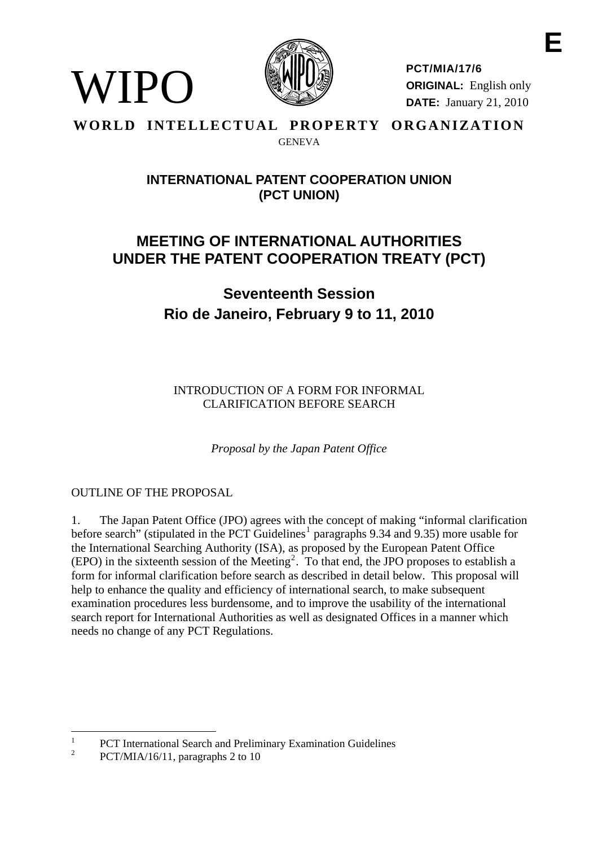

**PCT/MIA/17/6 ORIGINAL:** English only **DATE:** January 21, 2010

#### **WORLD INTELLECTUAL PROPERTY ORGANIZATION GENEVA**

## **INTERNATIONAL PATENT COOPERATION UNION (PCT UNION)**

## **MEETING OF INTERNATIONAL AUTHORITIES UNDER THE PATENT COOPERATION TREATY (PCT)**

# **Seventeenth Session Rio de Janeiro, February 9 to 11, 2010**

INTRODUCTION OF A FORM FOR INFORMAL CLARIFICATION BEFORE SEARCH

*Proposal by the Japan Patent Office* 

### OUTLINE OF THE PROPOSAL

WIPO

1. The Japan Patent Office (JPO) agrees with the concept of making "informal clarification before search" (stipulated in the PCT Guidelines<sup>[1](#page-0-0)</sup> paragraphs 9.34 and 9.35) more usable for the International Searching Authority (ISA), as proposed by the European Patent Office  $(EPO)$  in the sixteenth session of the Meeting<sup>[2](#page-0-1)</sup>. To that end, the JPO proposes to establish a form for informal clarification before search as described in detail below. This proposal will help to enhance the quality and efficiency of international search, to make subsequent examination procedures less burdensome, and to improve the usability of the international search report for International Authorities as well as designated Offices in a manner which needs no change of any PCT Regulations.

 $\overline{a}$ 

<span id="page-0-0"></span><sup>1</sup> PCT International Search and Preliminary Examination Guidelines

<span id="page-0-1"></span> $\overline{2}$ PCT/MIA/16/11, paragraphs 2 to 10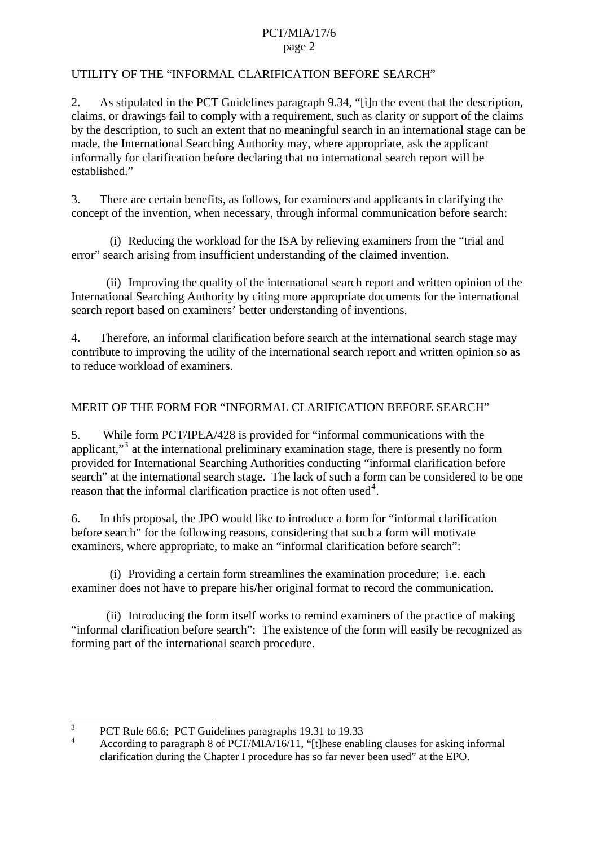#### PCT/MIA/17/6 page 2

#### UTILITY OF THE "INFORMAL CLARIFICATION BEFORE SEARCH"

2. As stipulated in the PCT Guidelines paragraph 9.34, "[i]n the event that the description, claims, or drawings fail to comply with a requirement, such as clarity or support of the claims by the description, to such an extent that no meaningful search in an international stage can be made, the International Searching Authority may, where appropriate, ask the applicant informally for clarification before declaring that no international search report will be established."

3. There are certain benefits, as follows, for examiners and applicants in clarifying the concept of the invention, when necessary, through informal communication before search:

 (i) Reducing the workload for the ISA by relieving examiners from the "trial and error" search arising from insufficient understanding of the claimed invention.

 (ii) Improving the quality of the international search report and written opinion of the International Searching Authority by citing more appropriate documents for the international search report based on examiners' better understanding of inventions.

4. Therefore, an informal clarification before search at the international search stage may contribute to improving the utility of the international search report and written opinion so as to reduce workload of examiners.

#### MERIT OF THE FORM FOR "INFORMAL CLARIFICATION BEFORE SEARCH"

5. While form PCT/IPEA/428 is provided for "informal communications with the applicant,"<sup>[3](#page-1-0)</sup> at the international preliminary examination stage, there is presently no form provided for International Searching Authorities conducting "informal clarification before search" at the international search stage. The lack of such a form can be considered to be one reason that the informal clarification practice is not often used<sup>[4](#page-1-1)</sup>.

6. In this proposal, the JPO would like to introduce a form for "informal clarification before search" for the following reasons, considering that such a form will motivate examiners, where appropriate, to make an "informal clarification before search":

 (i) Providing a certain form streamlines the examination procedure; i.e. each examiner does not have to prepare his/her original format to record the communication.

 (ii) Introducing the form itself works to remind examiners of the practice of making "informal clarification before search": The existence of the form will easily be recognized as forming part of the international search procedure.

<sup>&</sup>lt;sup>2</sup><br>3 PCT Rule 66.6; PCT Guidelines paragraphs 19.31 to 19.33

<span id="page-1-1"></span><span id="page-1-0"></span><sup>4</sup> According to paragraph 8 of  $PCT/MIA/16/11$ , "[t]hese enabling clauses for asking informal clarification during the Chapter I procedure has so far never been used" at the EPO.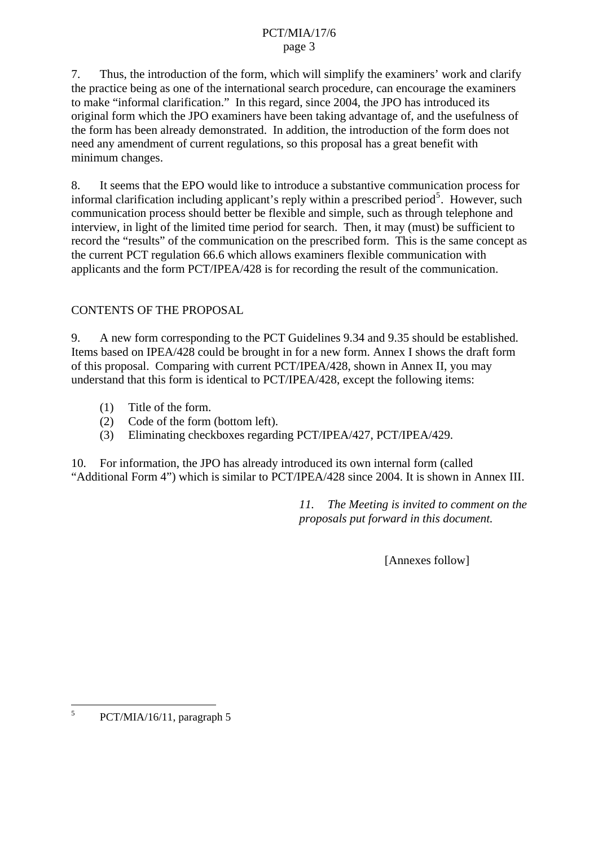#### PCT/MIA/17/6 page 3

7. Thus, the introduction of the form, which will simplify the examiners' work and clarify the practice being as one of the international search procedure, can encourage the examiners to make "informal clarification." In this regard, since 2004, the JPO has introduced its original form which the JPO examiners have been taking advantage of, and the usefulness of the form has been already demonstrated. In addition, the introduction of the form does not need any amendment of current regulations, so this proposal has a great benefit with minimum changes.

8. It seems that the EPO would like to introduce a substantive communication process for informal clarification including applicant's reply within a prescribed period<sup>[5](#page-2-0)</sup>. However, such communication process should better be flexible and simple, such as through telephone and interview, in light of the limited time period for search. Then, it may (must) be sufficient to record the "results" of the communication on the prescribed form. This is the same concept as the current PCT regulation 66.6 which allows examiners flexible communication with applicants and the form PCT/IPEA/428 is for recording the result of the communication.

#### CONTENTS OF THE PROPOSAL

9. A new form corresponding to the PCT Guidelines 9.34 and 9.35 should be established. Items based on IPEA/428 could be brought in for a new form. Annex I shows the draft form of this proposal. Comparing with current PCT/IPEA/428, shown in Annex II, you may understand that this form is identical to PCT/IPEA/428, except the following items:

- (1) Title of the form.
- (2) Code of the form (bottom left).
- (3) Eliminating checkboxes regarding PCT/IPEA/427, PCT/IPEA/429.

10. For information, the JPO has already introduced its own internal form (called "Additional Form 4") which is similar to PCT/IPEA/428 since 2004. It is shown in Annex III.

> *11. The Meeting is invited to comment on the proposals put forward in this document.*

> > [Annexes follow]

<span id="page-2-0"></span> 5 PCT/MIA/16/11, paragraph 5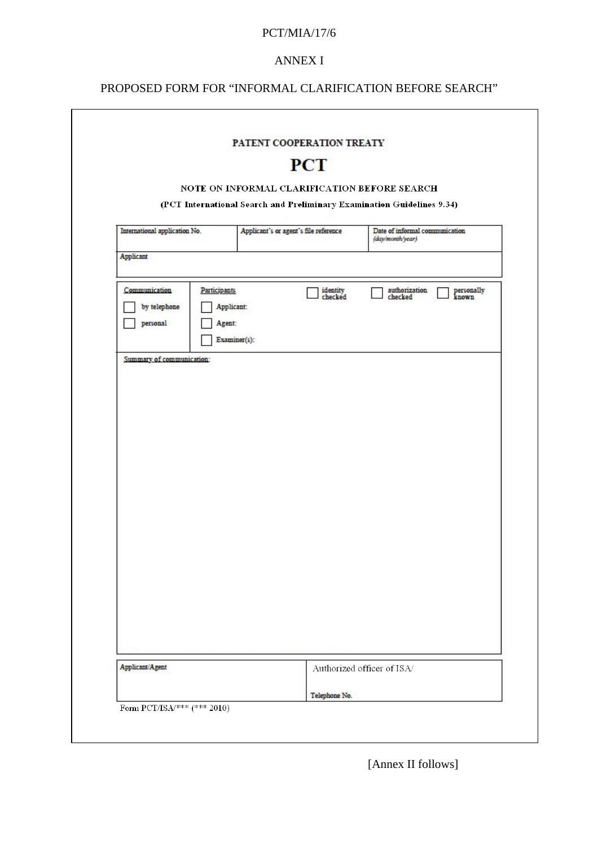#### PCT/MIA/17/6

#### ANNEX I

## PROPOSED FORM FOR "INFORMAL CLARIFICATION BEFORE SEARCH"

|                                           |                                             |              | <b>PCT</b>                                                             |                                                    |                     |
|-------------------------------------------|---------------------------------------------|--------------|------------------------------------------------------------------------|----------------------------------------------------|---------------------|
|                                           |                                             |              | NOTE ON INFORMAL CLARIFICATION BEFORE SEARCH                           |                                                    |                     |
|                                           |                                             |              | (PCT International Search and Preliminary Examination Guidelines 9.34) |                                                    |                     |
| International application No.             |                                             |              | Applicant's or agent's file reference                                  | Date of informal communication<br>(day/month/year) |                     |
| Applicant                                 |                                             |              |                                                                        |                                                    |                     |
| Communication<br>by telephone<br>personal | <b>Participants</b><br>Applicant:<br>Agent: | Examiner(s): | identity<br>checked                                                    | authorization<br>checked                           | personally<br>known |
| Summary of communication:                 |                                             |              |                                                                        |                                                    |                     |
|                                           |                                             |              |                                                                        |                                                    |                     |
|                                           |                                             |              |                                                                        |                                                    |                     |
|                                           |                                             |              |                                                                        |                                                    |                     |
|                                           |                                             |              |                                                                        |                                                    |                     |
|                                           |                                             |              |                                                                        |                                                    |                     |
|                                           |                                             |              |                                                                        |                                                    |                     |
|                                           |                                             |              |                                                                        |                                                    |                     |
|                                           |                                             |              |                                                                        |                                                    |                     |
|                                           |                                             |              |                                                                        |                                                    |                     |
|                                           |                                             |              |                                                                        |                                                    |                     |
|                                           |                                             |              |                                                                        |                                                    |                     |
|                                           |                                             |              |                                                                        |                                                    |                     |
|                                           |                                             |              |                                                                        |                                                    |                     |
|                                           |                                             |              |                                                                        |                                                    |                     |
|                                           |                                             |              |                                                                        |                                                    |                     |
| Applicant/Agent                           |                                             |              |                                                                        | Authorized officer of ISA/                         |                     |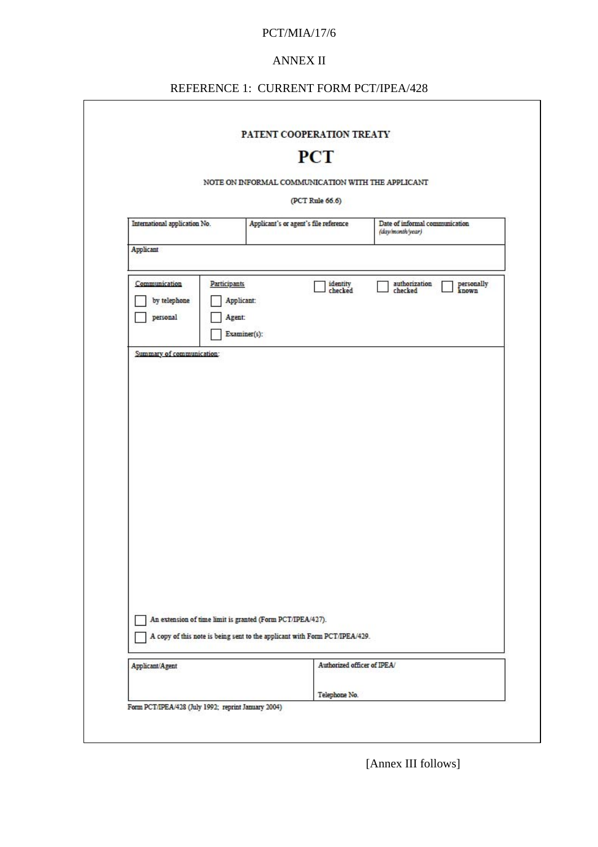#### PCT/MIA/17/6

#### ANNEX II

## REFERENCE 1: CURRENT FORM PCT/IPEA/428

٦

 $\mathsf{r}$ 

|                                                                     | <b>PCT</b>                                                                 |                                                    |
|---------------------------------------------------------------------|----------------------------------------------------------------------------|----------------------------------------------------|
|                                                                     | NOTE ON INFORMAL COMMUNICATION WITH THE APPLICANT                          |                                                    |
|                                                                     | (PCT Rule 66.6)                                                            |                                                    |
| International application No.                                       | Applicant's or agent's file reference                                      | Date of informal communication<br>(day/month/year) |
| Applicant                                                           |                                                                            |                                                    |
| Communication<br>Participants<br>by telephone<br>Agent:<br>personal | identity<br>checked<br>Applicant:<br>Examiner(s):                          | authorization<br>checked<br>personally<br>known    |
| Summary of communication:                                           |                                                                            |                                                    |
|                                                                     |                                                                            |                                                    |
|                                                                     |                                                                            |                                                    |
|                                                                     |                                                                            |                                                    |
|                                                                     |                                                                            |                                                    |
|                                                                     |                                                                            |                                                    |
|                                                                     |                                                                            |                                                    |
|                                                                     |                                                                            |                                                    |
|                                                                     |                                                                            |                                                    |
|                                                                     |                                                                            |                                                    |
|                                                                     | An extension of time limit is granted (Form PCT/IPEA/427).                 |                                                    |
|                                                                     | A copy of this note is being sent to the applicant with Form PCT/IPEA/429. |                                                    |
| Applicant/Agent                                                     | Authorized officer of IPEA/                                                |                                                    |

[Annex III follows]